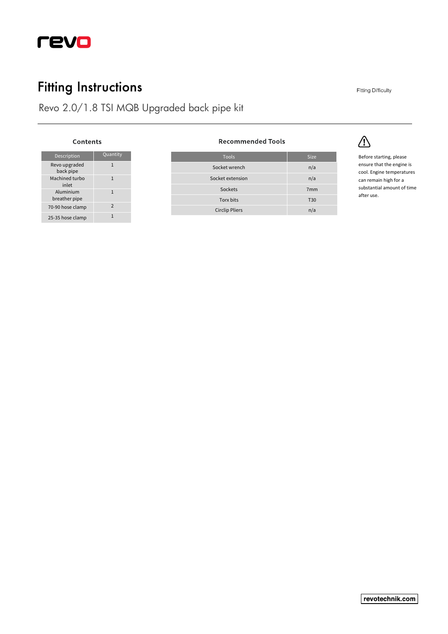

# **Fitting Instructions**

Revo 2.0/1.8 TSI MQB Upgraded back pipe kit

#### Contents

| <b>Description</b>         | Quantity      |
|----------------------------|---------------|
| Revo upgraded<br>back pipe | 1             |
| Machined turbo<br>inlet    | 1             |
| Aluminium<br>breather pipe | 1             |
| 70-90 hose clamp           | $\mathcal{P}$ |
| 25-35 hose clamp           |               |

#### **Recommended Tools**

| <b>Tools</b>          | <b>Size</b>     |
|-----------------------|-----------------|
| Socket wrench         | n/a             |
| Socket extension      | n/a             |
| Sockets               | 7 <sub>mm</sub> |
| Torx bits             | <b>T30</b>      |
| <b>Circlip Pliers</b> | n/a             |



 $\triangle$ 

Before starting, please ensure that the engine is cool. Engine temperatures can remain high for a substantial amount of time after use.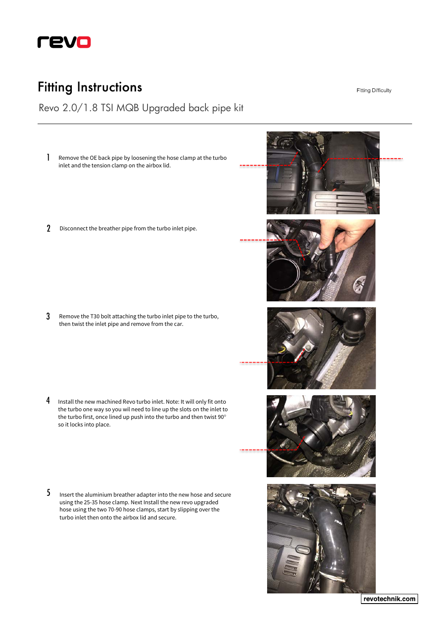

### **Fitting Instructions**

Revo 2.0/1.8 TSI MQB Upgraded back pipe kit

- Remove the OE back pipe by loosening the hose clamp at the turbo inlet and the tension clamp on the airbox lid. 1
- 2 Disconnect the breather pipe from the turbo inlet pipe.

3 Remove the T30 bolt attaching the turbo inlet pipe to the turbo, then twist the inlet pipe and remove from the car.

- Install the new machined Revo turbo inlet. Note: It will only fit onto the turbo one way so you wil need to line up the slots on the inlet to the turbo first, once lined up push into the turbo and then twist 90° so it locks into place. 4
- Insert the aluminium breather adapter into the new hose and secure using the 25-35 hose clamp. Next Install the new revo upgraded hose using the two 70-90 hose clamps, start by slipping over the turbo inlet then onto the airbox lid and secure. 5



**Fitting Difficulty** 

revotechnik.com